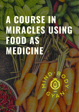# **A COURSE IN MIRACLES USING FOOD AS MEDICINE**

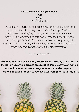#### \**Instructional: Know your Foods And Q & A's* \*See modules below

The course will teach you to become your own 'Food Doctor', and heal your ailments through food -- *diabetes, weight loss/gain, candida, GERD (acid-reflux), asthma, insulin resistance, autoimmune disorders (all), Irritable bowel disorders (constipation, colitis, Crohn's, Ulcerative, thyroid, SIBO, skin autoimmune conditions, gout, lupus), menopause, PCOS, cancers, inflammation, leaky gut, depression, anxiety issues, alopecia, skin issues, insomnia, food intolerances*.

I've got you covered!

**Modules will take place every Tuesday's & Saturday's at 4 pm, on Instagram Live via a private group called Mind Body Gyan (which you will have access to, once you have made the payment) They will be saved for you to review later from July 1st to July 31st**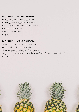#### **MODULE 1: ACIDIC FOODS**

Foods causing cellular breakdown Walking you through the entire list What happens when you ingest them? Bacteria break down Cellular breakdown Q & A

## **MODULE 2: CARBOPHOBIA**

The truth behind your carbohydrates How much is okay, what works? The energy of good sugars from grains Why is it so important to include: specifically, for which conditions? Q & A

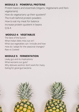#### **MODULE 3: POWERFUL PROTEINS**

Protein basics and essentials (Vegans, Vegetarians and Nonvegetarians)

How do vegetarians up their quotient?

The truth behind protein powders

How to eat my meat for balance

Increase protein quotient in beans

Q & A

### **MODULE 4: VEGETABLES**

What worsens our guts? Why detoxes work/or don't work for many Eating for good gut bacteria



The best of the bunch What Indian diets miss out on? What sea vegetables can I include and how How do I adapt for the seasonal changes? Raw vs Cooked

# **MODULE 5: FERMENTATION**

Leaky gut and its implications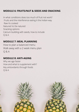#### **MODULE 6: FRUITS/NUT & SEEDS AND SNACKING**

In what conditions does too much of fruit not work? Fruits and the interference eating it the Indian-way Raw Vs cooked Natured Vs De-natured Snacking options Calcium building with seeds, how to include Q & A

#### **MODULE 7: MEAL PLANNING**

How to plan a balanced menu Walk away with a 2 week menu plan Q & A

#### **MODULE 8: ANTI-AGING**

Why we age faster How and what to supplement with? Key antioxidants through foods Q & A



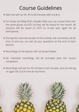# Course Guidelines

- Each live will run for 45 to 60 minutes with a Q & A.
- For those enrolling from outside India, you can access lives over the same group via IGTV as they will be saved for the month. All sessions will be saved on IGTV to re-visit later again for all participants.
- During the instructional part of the module, the comments will be shut of and you can ask all your questions at the end of each session.
- Recordings of the session will not be permitted.
- No individual recordings will be provided post the course

• Recordings will last for 45 minutes to 60 minutes, and we will log on again for Q & A if we do not finish.



completion.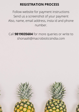# **REGISTRATION PROCESS**

Follow website for payment instructions Send us a screenshot of your payment Also, name, email address, insta id and phone number.

Call **9819035604** for more queries or write to shonaalii@macrobioticsindia.com